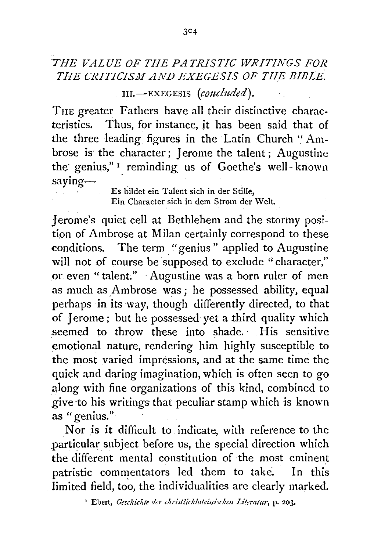## *THE VALUE OF THE PA TRISTIC WRITINGS FOR*  THE CRITICISM AND EXEGESIS OF THE BIBLE.

111.-EXEGESIS (concluded).

TnE greater Fathers have all their distinctive characteristics. Thus, for instance, it has been said that of the three leading figures in the Latin Church " Ambrose is the character; Jerome the talent; Augustine the genius,"<sup>1</sup> reminding us of Goethe's well-known saying-

Es bildet ein Talent sich in der Stille, Ein Character sich in dem Strom der Welt.

Jerome's quiet cell at Bethlehem and the stormy position of Ambrose at Milan certainly correspond to these conditions. The term "genius " applied to Augustine will not of course be supposed to exclude "character," or even "talent." ·Augustine was a born ruler of men as much as Ambrose was; he possessed ability, equal perhaps in its way, though differently directed, to that of Jerome; but he possessed yet a third quality which seemed to throw these into shade. His sensitive emotional nature, rendering him highly susceptible to the most varied impressions, and at the same time the quick and daring imagination, which is often seen to go along with fine organizations of this kind, combined to give ·to his writings that peculiar stamp which is known as "genius."

Nor is it difficult to indicate, with reference to the .particular subject before us, the special direction which the different mental constitution of the most eminent patristic commentators led them to take. In this limited field, too, the individualities are clearly marked.

<sup>1</sup> Ebert, *Geschichte der christlichlateillischm Literatur,* p. 203.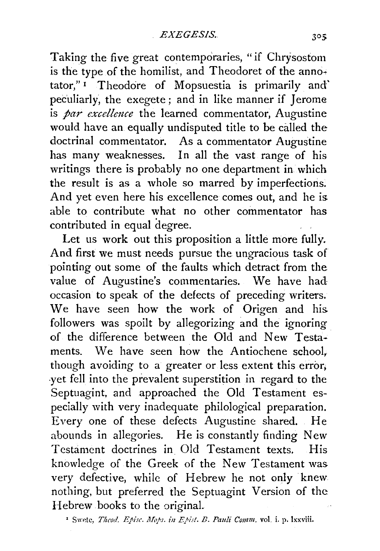Taking the five great contemporaries, "if Chrysostom is the type of the homilist, and Theodoret of the annotator," 1 Theodore of Mopsuestia is primarily and' peculiarly, the exegete ; and in like manner if  $I$  erome is *par excellence* the learned commentator, Augustine would have an equally undisputed title to be called the doctrinal commentator. As a commentator Augustine has many weaknesses. In all the vast range of his writings there is probably no one department in which the result is as a whole so marred by imperfections. And yet even here his excellence comes out, and he is. able to contribute what no other commentator has contributed in equal degree.

Let us work out this proposition a little more fully. And first we must needs pursue the ungracious task of pointing out some of the faults which detract from the value of Augustine's commentaries. We have had occasion to speak of the defects of preceding writers. We have seen how the work of Origen and his. followers was spoilt by allegorizing and the ignoring of the difference between the Old and New Testaments. We have seen how the Antiochene school, though avoiding to a greater or less extent this error; ·yet fell into the prevalent superstition in regard to the Septuagint, and approached the Old Testament especially with very inadequate philological preparation. Every one of these defects Augustine shared. He abounds in allegories. He is constantly finding New Testament doctrines in Old Testament texts. His knowledge of the Greek of the New Testament was very defective, while of Hebrew he not only knew nothing, but preferred the Septuagint Version of the: Hebrew books to the original.

<sup>1</sup> Swete, *Theod. Episc. Mops. in Epist. B. Pauli Comm.* vol. i. p. lxxviii.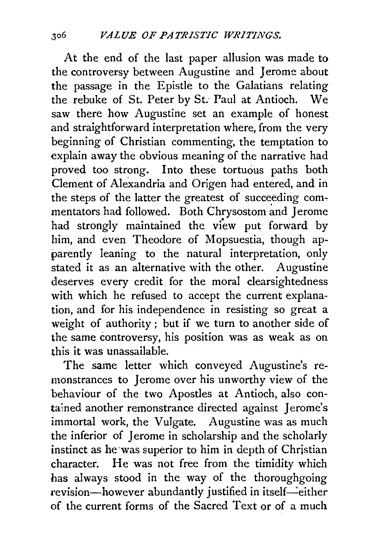At the end of the last paper allusion was made to the controversy between Augustine and Jerome about the passage in the Epistle to the Galatians relating the rebuke of St. Peter by St. Paul at Antioch. We saw there how Augustine set an example of honest and straightforward interpretation where, from the very beginning of Christian commenting, the temptation to explain away the obvious meaning of the narrative had proved too strong. Into these tortuous paths both Clement of Alexandria and Origen had entered, and in the steps of the latter the greatest of succeeding commentators had followed. Both Chrysostom and Jerome had strongly maintained the view put forward by him, and even Theodore of Mopsuestia, though apparently leaning to the natural interpretation, only stated it as an alternative with the other. Augustine deserves every credit for the moral clearsightedness with which he refused to accept the current explanation, and for his independence in resisting so great a weight of authority; but if we turn to another side of the same controversy, his position was as weak as on this it was unassailable.

The same letter which conveyed Augustine's remonstrances to Jerome over his unworthy view of the behaviour of the two Apostles at Antioch, also contained another remonstrance directed against Jerome's immortal work, the Vulgate. Augustine was as much the inferior of Jerome in scholarship and the scholarly instinct as he was superior to him in depth of Christian character. He was not free from the timidity which has always stood in the way of the thoroughgoing revision-however abundantly justified in itself-either of the current forms of the Sacred Text or of a much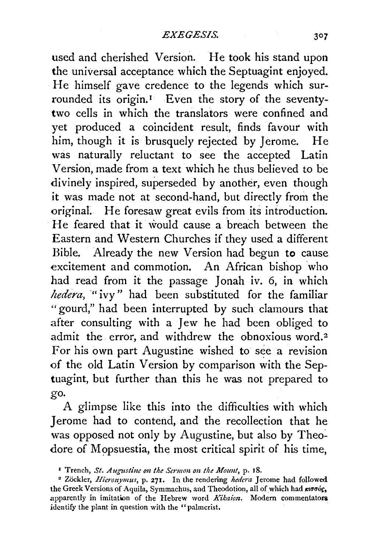used and cherished Version. He took his stand upon the universal acceptance which the Septuagint enjoyed. He himself gave credence to the legends which surrounded its origin.<sup>1</sup> Even the story of the seventytwo cells in which the translators were confined and yet produced a coincident result, finds favour with him, though it is brusquely rejected by Jerome. He was naturally reluctant to see the accepted Latin Version, made from a text which he thus believed to be divinely inspired, superseded by another, even though it was made not at second-hand, but directly from the original. He foresaw great evils from its introduction. He feared that it would cause a breach between the Eastern and Western Churches if they used a different Bible. Already the new Version had begun *to* cause excitement and commotion. An African bishop who had read from it the passage Jonah iv. 6, in which *hedera*, "ivy" had been substituted for the familiar "gourd," had been interrupted by such clamours that after consulting with a Jew he had been obliged to admit the error, and withdrew the obnoxious word.<sup>2</sup> For his own part Augustine wished to see a revision of the old Latin Version by comparison with the Septuagint, but further than this he was not prepared to go.

A glimpse like this into the difficulties with which Jerome had to contend, and the recollection that he was opposed not only by Augustine, but also by Theodore of Mopsuestia, the most critical spirit of his time,

*<sup>•</sup> Trench, St. Augustine on the Sermon on the Mount, p. 18.* 2 Zockler, *Hieronymus, p. 271.* In the rendering *hedera* Jerome had followed the Greek Versions of Aquila, Symmachus, and Theodotion, all of which had *roods*, apparently in imitation of the Hebrew word *Kikaion*. Modern commentators identify the plant in question with the "palmcrist.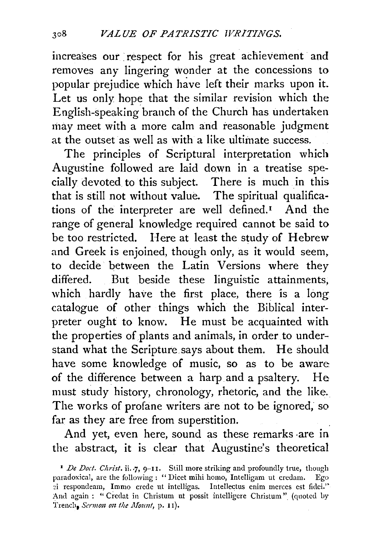increases our respect for his great achievement and removes any lingering wonder at the concessions to popular prejudice which have left their marks upon it. Let us only hope that the similar revision which the E nglish-speaking branch of the Church has undertaken may meet with a more calm and reasonable judgment at the outset as well as with a like ultimate success.

The principles of Scriptural interpretation which Augustine followed are laid down in a treatise specially devoted to this subject. There is much in this that is still not without value. The spiritual qualifications of the interpreter are well defined.I And the range of general knowledge required cannot be said to be too restricted. Here at least the study of Hebrew and Greek is enjoined, though only, as it would seem, to decide between the Latin Versions where they differed. But beside these linguistic attainments, which hardly have the first place, there is a long catalQgue of other things which the Biblical interpreter ought to know. He must be acquainted with the properties of plants and animals, in order to understand what the Scripture says about them. He should have some knowledge of music, so as to be aware of the difference between a harp and a psaltery. He must study history, chronology, rhetoric, and the like. The works of profane writers are not to be ignored; so far as they are free from superstition.

And yet, even here, sound as these remarks -are in the abstract, it is clear that Augustine's theoretical

<sup>&</sup>lt;sup>1</sup> De Doct. Christ. ii.  $7$ , 9-11. Still more striking and profoundly true, though paradoxical, are the following : " Dicet mihi homo, Intelligam ut credam. Ego ~i respondeam, Immo crede ut intelligas. Intellectus enim merces est fidei.'' And again : " Credat in Christum ut possit intelligere Christum" (quoted by 'french, *Sermon* 011 *the llfozmt,* p. 11).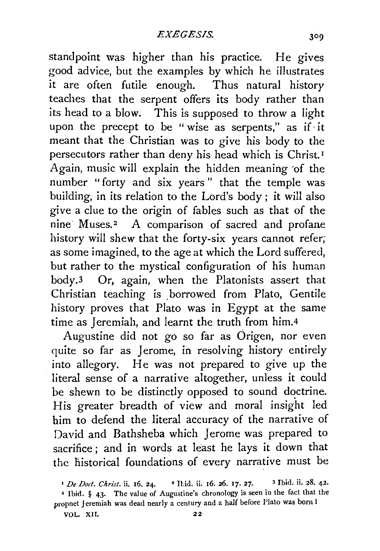standpoint was higher than his practice. He gives good advice, but the examples by which he illustrates it are often futile enough. Thus natural history teaches that the serpent offers its body rather than its head to a blow. This is supposed to throw a light upon the precept to be "wise as serpents," as if· it meant that the Christian was to give his body to the persecutors rather than deny his head which is Christ. <sup>1</sup> Again, music will explain the hidden meaning ·of the number "forty and six years " that the temple was building, in its relation to the Lord's body ; it will also give a clue to the origin of fables such as that of the nine Muses.<sup>2</sup> A comparison of sacred and profane history will shew that the forty-six years cannot refer; as some imagined, to the age at which the Lord suffered, but rather to the mystical configuration of his human body.<sup>3</sup> Or, again, when the Platonists assert that Christian teaching is borrowed from Plato, Gentile history proves that Plato was in Egypt at the same time as Jeremiah, and learnt the truth from him.4

Augustine did not go so far as Origen, nor even quite so far as Jerome, in resolving history entirely into allegory. He was not prepared to give up the literal sense of a narrative altogether, unless it could be shewn to be distinctly opposed to sound doctrine. His greater breadth of view and moral insight led him to defend the literal accuracy of the narrative of David and Bathsheba which Jerome was prepared to sacrifice; and in words at least he lays it down that the historical foundations of every narrative must be

*<sup>&#</sup>x27;De Doct. Christ.* ii. 16. 24. • Ibid. ii. 16. 26. 17. 27. 3 Ibid. ii. 28. 42.

<sup>•</sup> Ibid. § 43· The value of Augustine's chronology is seen in the fact that the propnet Jeremiah was dead nearly a century and a half before Plato was bom I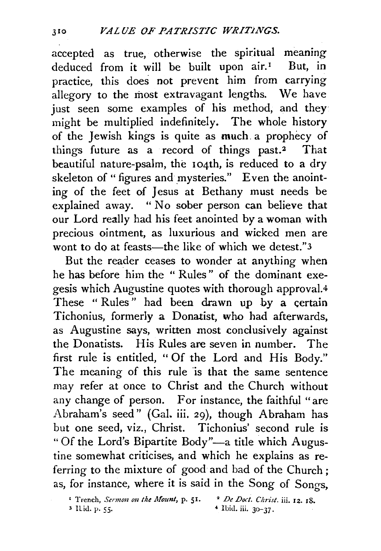accepted as true, otherwise the spiritual meaning<br>deduced from it will be built upon  $air<sup>T</sup>$  But, in deduced from it will be built upon  $air<sup>T</sup>$ practice, this does not prevent him from carrying allegory to the most extravagant lengths. We have just seen some examples of his method, and they might be multiplied indefinitely. The whole history of the Jewish kings is quite as much. a prophecy of things future as a record of things past.2 That beautiful nature-psalm, the 104th, is reduced to a dry skeleton of " figures and mysteries." Even the anointing of the feet of Jesus at Bethany must needs be explained away. " No sober person can believe that our Lord really had his feet anointed by a woman with precious ointment, as luxurious and wicked men are wont to do at feasts—the like of which we detest."3

But the reader ceases to wonder at anything when he has before him the " Rules" of the dominant exegesis which Augustine quotes with thorough approval.4 These "Rules" had been drawn up by a certain Tichonius, formerly a Donatist, who had afterwards, as Augustine says, written most condusively against the Donatists. His Rules are seven in number. The first rule is entitled, " Of the Lord and His Body." The meaning of this rule is that the same sentence may refer at once to Christ and the Church without any change of person. For instance, the faithful "are Abraham's seed" (Gal. iii. 29), though Abraham has but one seed, viz., Christ. Tichonius' second rule is "Of the Lord's Bipartite Body"-a title which Augustine somewhat criticises, and which he explains as referring to the mixture of good and bad of the Church; as, for instance, where it is said *in* the Song of Songs,

<sup>1</sup> Trench, *Sermon on the Mount*, p. 51. <sup>2</sup> De Doct. Christ. iii. 12. 18. *3* I lid. p. 55· 4 Ibid. iii. 3o-37.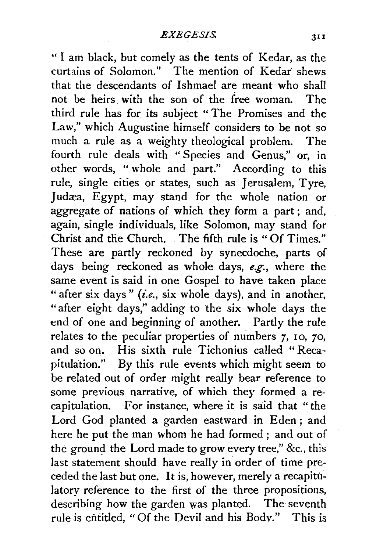" I am black, but comely as the tents of Kedar, as the curtains of Solomon." The mention of Kedar shews that the descendants of Ishmael are meant who shall not be heirs. with the son of the free woman. The third rule has for its subject " The Promises and the Law," which Augustine himself considers to be not so much a rule as a weighty theological problem. The fourth rule deals with " Species and Genus," or, in other words, " whole and part." According to this rule, single cities or states, such as Jerusalem, Tyre, Judæa, Egypt, may stand for the whole nation or aggregate of nations of which they form a part; and, again, single individuals, like Solomon, may stand for Christ and the Church. The fifth rule is "Of Times." These are partly reckoned by synecdoche, parts of days being reckoned as whole days, *e.g.,* where the same event is said in one Gospel to have taken place "after six days" (i.e., six whole days), and in another, "after eight days," adding to the six whole days the end of one and beginning of another. Partly the rule relates to the peculiar properties of numbers 7, 10, 70, and so on. His sixth rule Tichonius called "Recapitulation." By this rule events which might seem to be related out of order might really bear reference to some previous narrative, of which they formed a recapitulation. For instance, where it is said that "the Lord God planted a garden eastward in Eden ; and here he put the man whom he had formed ; and out of the ground the Lord made to grow every tree," &c., this last statement should have really in order of time preceded the last but one. It is, however, merely a recapitulatory reference to the first of the three propositions, describing how the garden was planted. The seventh rule is entitled, "Of the Devil and his Body." This is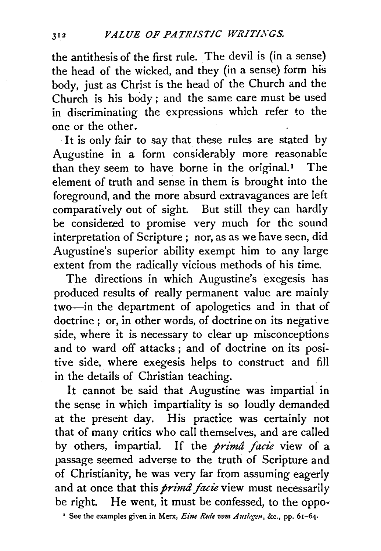the antithesis of the first rule. The devil is (in a sense) the head of the wicked, and they (in a sense) form his body, just as Christ is the head of the Church and the Church is his body; and the same care must be used in discriminating the expressions which refer to the one or the other.

It is only fair to say that these rules are stated by Augustine in a form considerably more reasonable than they seem to have borne in the original.<sup> $I$ </sup> The element of truth and sense in them is brought into the foreground, and the more absurd extravagances are left comparatively out of sight. But still they can hardly be considered to promise very much for the sound interpretation of Scripture ; nor, as as we have seen, did Augustine's superior ability exempt him to any large extent from the radically vicious methods of his time.

The directions in which Augustine's exegesis has produced results of really permanent value are mainly two-in the department of apologetics and in that of doctrine; or, in other words, of doctrine on its negative side, where it is necessary to clear up misconceptions and to ward off attacks ; and of doctrine on its positive side, where exegesis helps to construct and fill in the details of Christian teaching.

It cannot be said that Augustine was impartial in the sense in which impartiality is so loudly demanded at the present day. His practice was certainly not that of many critics who call themselves, and are called by others, impartial. If the *prima facie* view of a passage seemed adverse to the truth of Scripture and of Christianity, he was very far from assuming eagerly and at once that this *prima facie* view must necessarily be right. He went, it must be confessed, to the oppo-

<sup>1</sup> See the examples given in Merx, *Eine Rede vom Auslegen*, &c., pp. 61-64.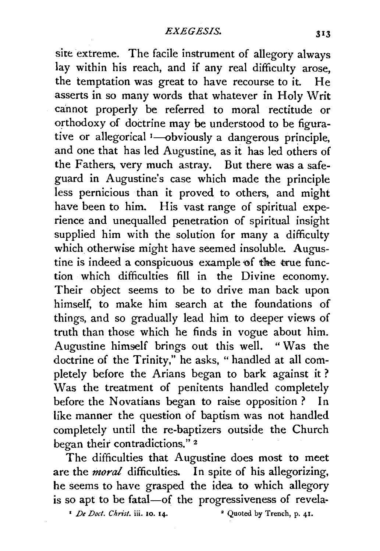site extreme. The facile instrument of allegory always lay within his reach, and if any real difficulty arose. the temptation was great to have recourse to it. He asserts in so many words that whatever in Holy Writ cannot properly be referred to moral rectitude or orthodoxy of doctrine may be understood to be figurative or allegorical <sup>1</sup>-obviously a dangerous principle, and one that has led Augustine, as it has led others of the Fathers, very much astray. But there was a safeguard in Augustine's case which made the principle less pernicious than it proved to others, and might have been to him. His vast range of spiritual experience and unequalled penetration of spiritual insight supplied him with the solution for many a difficulty which otherwise might have seemed insoluble. Augustine is indeed a conspicuous example of the true function which difficulties fill in the Divine economy. Their object seems to be to drive man back upon himself, to make him search at the foundations of things, and so gradually lead him to deeper views of truth than those which he finds in vogue about him. Augustine himself brings out this well. " Was the doctrine of the Trinity," he asks, "handled at all completely before the Arians began to bark against it ? Was the treatment of penitents handled completely before the Novatians began to raise opposition? In like manner the question of baptism was not handled completely until the re-baptizers outside the Church began their contradictions."<sup>2</sup>

The difficulties that Augustine does most to meet are the *moral* difficulties. In spite of his allegorizing, he seems to have grasped the idea to which allegory is so apt to be fatal-of the progressiveness of revela-

<sup>1</sup> *De Doct. Christ.* iii. 10. 14. <sup>•</sup> Quoted by Trench, p. 41.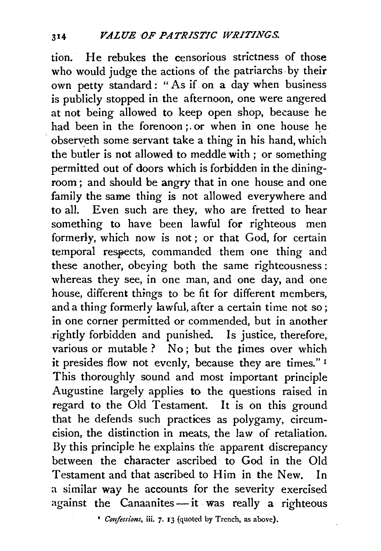tion. He rebukes the censorious strictness of those who would judge the actions of the patriarchs by their own petty standard : " As if on a day when business is publicly stopped in the afternoon, one were angered at not being allowed to keep open shop, because he had been in the forenoon; or when in one house he observeth some servant take a thing in his hand, which the butler is not allowed to meddle with ; or something permitted out of doors which is forbidden in the diningroom ; and should be angry that in one house and one family the same thing is not allowed everywhere and to all. Even such are they, who are fretted to hear something to have been lawful for righteous men formerly, which now is not ; or that God, for certain temporal respects, commanded them one thing and these another, obeying both the same righteousness : whereas they see, in one man, and one day, and one house, different things to be fit for different members, and a thing formerly lawful, after a certain time not so; in one corner permitted or commended, but in another .rightly forbidden and punished. Is justice, therefore, various or mutable? No; but the times over which it presides flow not evenly, because they are times." <sup>1</sup> This thoroughly sound and most important principle Augustine largely applies to the questions raised in regard to the Old Testament. It is on this ground that he defends such practices as polygamy, circumcision, the distinction in meats, the law of retaliation. By this principle he explains the apparent discrepancy between the character ascribed to God in the Old Testament and that ascribed to Him in the New. In a similar way he accounts for the severity exercised against the Canaanites $-\text{it}$  was really a righteous

• *Confessions,* iii. 7· 13 (quoted by Trench, as above).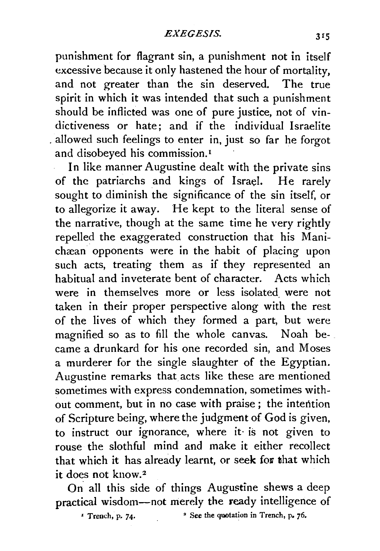punishment for flagrant sin, a punishment not in itself excessive because it only hastened the hour of mortality, and not greater than the sin deserved. The true spirit in which it was intended that such a punishment should be inflicted was one of pure justice, not of vindictiveness or hate; and if the individual Israelite . allowed such feelings to enter in, just so far he forgot and disobeyed his commission.<sup>1</sup>

In like manner Augustine dealt with the private sins of the patriarchs and kings of Israel. He rarely sought to diminish the significance of the sin itself, or to allegorize it away. He kept to the literal sense of the narrative, though at the same time he very rightly repelled the exaggerated construction that his Manichæan opponents were in the habit of placing upon such acts, treating them as if they represented an habitual and inveterate bent of character. Acts which were in themselves more or less isolated were not taken in their proper perspective along with the rest of the lives of which they formed a part, but were magnified so as to fill the whole canvas. Noah became a drunkard for his one recorded sin, and Moses a murderer for the single slaughter of the Egyptian. Augustine remarks that acts like these are mentioned sometimes with express condemnation, sometimes without comment, but in no case with praise ; the intention of Scripture being, where the judgment of God is given, to instruct our ignorance, where it· is not given to rouse the slothful mind and make it either recollect that which it has already learnt, or seek for that which it does not know. <sup>2</sup>

On. all this side of things Augustine shews a deep practical wisdom-not merely the ready intelligence of

*'* Trench, p. 74· • See the quotation in Trench, p. *76.*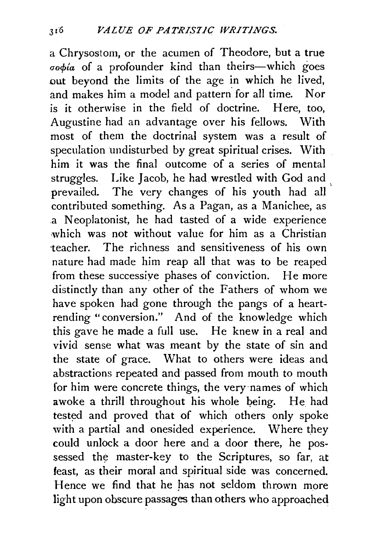a Chrysostom, or the acumen of Theodore, but a true  $\sigma$  $\phi$  $\mu$  of a profounder kind than theirs-which goes out beyond the limits of the age in which he lived, and makes him a model and pattern for all time. Nor is it otherwise in the field of doctrine. Here, too, Augustine had an advantage over his fellows. With most of them the doctrinal system was a result of speculation undisturbed by great spiritual crises. With him it was the final outcome of a series of mental struggles. Like Jacob, he had wrestled with God and prevailed. The very changes of his youth had all contributed something. As a Pagan, as a Manichee, as a Neoplatonist, he had tasted of a wide experience which was not without value for him as a Christian teacher. The richness and sensitiveness of his own nature had made him reap all that was to be reaped from these successiye phases of conviction. He more distinctly than any other of the Fathers of whom we have spoken had gone through the pangs of a heartrending "conversion." And of the knowledge which this gave he made a full use. He knew in a real and vivid sense what was meant by the state of sin and the state of grace. What to others were ideas and abstractions repeated and passed from mouth to mouth for him were concrete things, the very·names of which awoke a thrill throughout his whole being. He had tested and proved that of which others only spoke with a partial and onesided experience. Where they could unlock a door here and a door there, he possessed the master-key to the Scriptures, so far, at feast, as their moral and spiritual side was concerned. Hence we find that he has not seldom thrown more light upon obscure passages than others who approached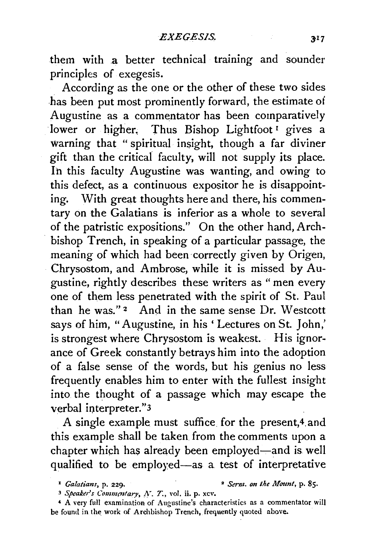them with a better technical training and sounder principles of exegesis.

According as the one or the other of these two sides has been put most prominently forward, the estimate of Augustine as a commentator has been comparatively lower or higher. Thus Bishop Lightfoot<sup>1</sup> gives a warning that " spiritual insight, though a far diviner gift than the critical faculty, will not supply its place. In this faculty Augustine was wanting, and owing to this defect, as a continuous expositor he is disappoint· ing. With great thoughts here and there, his commentary on the Galatians is inferior as a whole to several of the patristic expositions." On the other hand, Archbishop Trench, in speaking of a particular passage, the meaning of which had been correctly given by Origen, Chrysostom, and Ambrose, while it is missed by Augustine, rightly describes these writers as "men every one of them less penetrated with the spirit of St. Paul than he was." $2$  And in the same sense Dr. Westcott says of him, "Augustine, in his ' Lectures on St. John,' is strongest where Chrysostom is weakest. His ignorance of Greek constantly betrays him into the adoption of a false sense of the words, but his genius no less frequently enables him to enter with the fullest insight into the thought of a passage which may escape the verbal interpreter."3

A single example must suffice for the present,4.and this example shall be taken from the comments upon a chapter which has already been employed-and is well qualified to be employed-as a test of interpretative

<sup>•</sup> *Galatians,* p. 229. • *Sernt. on the Mo11nt,* p. 85.

<sup>&</sup>lt;sup>3</sup> Speaker's Commentary, *N*. *T.*, vol. ii. p. xcv.

<sup>•</sup> A very full examination of Augustine's characteristics as a commentator will be found in the work of Archbishop Trench, frequently quoted above.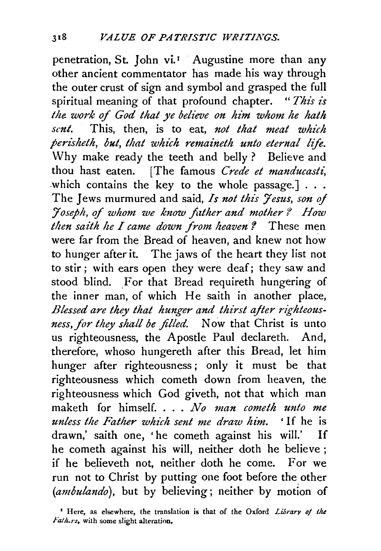penetration, St. John vi.<sup>1</sup> Augustine more than any other ancient commentator has made his way through the outer crust of sign and symbol and grasped the full spiritual meaning of that profound chapter. " *This is the work of God that ye believe on him whom he hath sent.* This, then, is to eat, *not that meat which perisheth, but, that which 1'emaineth unto eternal life.*  Why make ready the teeth and belly? Believe and thou hast eaten. [The famous *Crede et manducasti*, which contains the key to the whole passage.]  $\ldots$ The Jews murmured and said, *Is not this Jesus, son of :Joseph,* of *whom ·we know father and mother* f *How then saith he I came down from heaven* '! These men were far from the Bread of heaven, and knew not how to hunger after it. The jaws of the heart they list not to stir; with ears open they were deaf; they saw and stood blind. \_For that Bread requireth hungering of the inner man, of which He saith in another place, *Blessed are they that hunger and thirst after righteousness, for they shall be filled.* Now that Christ is unto us righteousness, the Apostle Paul declareth. And, therefore, whoso hungereth after this Bread, let him hunger after righteousness; only it must be that righteousness which cometh down from heaven, the righteousness which God giveth, not that which man maketh for himself .... *No man cometh unto me unless the Father which sent me draw him.* 'If he is drawn,' saith one, 'he cometh against his will.' If he cometh against his will, neither doth he believe; if he believeth not, neither doth he come. For we run not to Christ by putting one foot before the other *(ambulando),* but by believing; neither by motion of

<sup>&</sup>lt;sup>1</sup> Here, as elsewhere, the translation is that of the Oxford *Library of the Fath.rs.* with some slight alteration.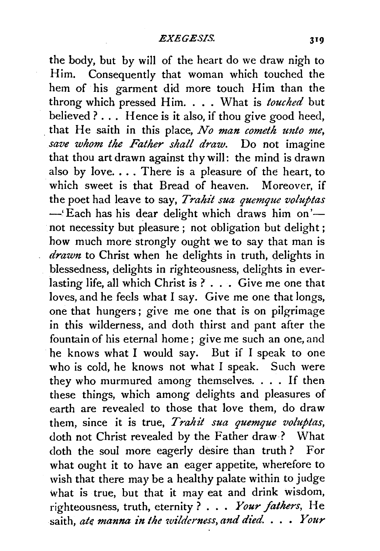the body, but by will of the heart do we draw nigh to Him. Consequently that woman which touched the hem of his garment did more touch Him than the throng which pressed Him .... What is *touched* but believed ? . . . Hence is it also, if thou give good heed, . that He saith in this place, *No man cometh unto me, save whom the Father shall draw.* Do not imagine that thou art drawn against thy will: the mind is drawn also by love.  $\ldots$  There is a pleasure of the heart, to which sweet is that Bread of heaven. Moreover, if the poet had leave to say, *Trahit sua quemque voluptas* -'Each has his dear delight which draws him on'not necessity but pleasure; not obligation but delight; how much more strongly ought we to say that man is *drawn* to Christ when he delights in truth, delights in blessedness, delights in righteousness, delights in everlasting life, all which Christ is ? . . . Give me one that loves, and he feels what I say. Give me one that longs, one that hungers; give me one that is on pilgrimage in this wilderness, and doth thirst and pant after the fountain of his eternal home; give me such an one, and he knows what I would say. But if I speak to one who is cold, he knows not what I speak. Such were they who murmured among themselves .... If then these things, which among delights and pleasures of earth are revealed to those that love them, do draw them, since it is true, *Trahit sua quemque voluptas,*  doth not Christ revealed by the Father draw? What doth the soul more eagerly desire than truth? For what ought it to have an eager appetite, wherefore to wish that there may be a healthy palate within to judge what is true, but that it may eat and drink wisdom, righteousness, truth, eternity ? . . . *Your fathers,* He saith, *ak manna in the wilderness, and died.* . . • *Your*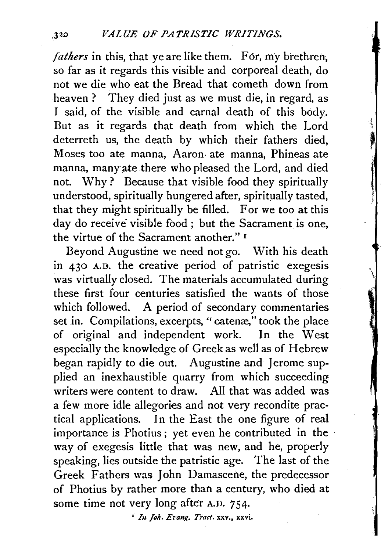*fathers* in this, that ye are like them. For, my brethren, so far as it regards this visible and corporeal death, do not we die who eat the Bread that cometh down from heaven? They died just as we must die, in regard, as I said, of the visible and carnal death of this body. But as it regards that death from which the Lord deterreth us, the death by which their fathers died, Moses too ate manna, Aaron· ate manna, Phineas ate manna, many ate there who pleased the Lord, and died not. Why ? Because that visible food they spiritually understood, spiritually hungered after, spiritually tasted, that they might spiritually be filled. For we too at this day do receive visible food ; but the Sacrament is one, the virtue of the Sacrament another." 1

**I** 

Beyond Augustine we need not go. With his death in 430 A.D. the creative period of patristic exegesis was virtually closed. The materials accumulated during these first four centuries satisfied the wants of those which followed. A period of secondary commentaries set in. Compilations, excerpts, "catenæ," took the place of original and independent work. In the West especially the knowledge of Greek as well as of Hebrew began rapidly to die out. Augustine and Jerome supplied an inexhaustible quarry from which succeeding writers were content to draw. All that was added was a few more idle allegories and not very recondite practical applications. In the East the one figure of real importance is Photius ; yet even he contributed in the way of exegesis little that was new, and he, properly speaking, lies outside the patristic age. The last of the Greek Fathers was John Damascene, the predecessor of Photius by rather more than a century, who died at some time not very long after A.D. 754.

<sup>1</sup> *In Joh. Evang. Tract.* xxv., xxvi.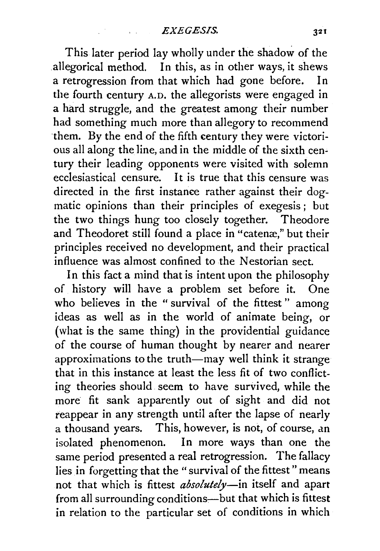This later period lay wholly under the shadow of the .allegorical method. In this, as in other ways, it shews a retrogression from that which had gone before. In the fourth century A.D. the allegorists were engaged in a hard struggle, and the greatest among their number had something much more than allegory to recommend them. By the end of the fifth century they were victorious all along the line, and in the middle of the sixth century their leading opponents were visited with solemn ecclesiastical censure. It is true that this censure was directed in the first instance rather against their dogmatic opinions than their principles of exegesis ; but the two things hung too closely together. Theodore and Theodoret still found a place in "catenæ." but their principles received no development, and their practical influence was almost confined to the Nestorian sect.

In this fact a mind that is intent upon the philosophy of history will have a problem set before it. One who believes in the "survival of the fittest" among ideas as well as in the world of animate being, or (what is the same thing) in the providential guidance of the course of human thought by nearer and nearer approximations to the truth-may well think it strange that in this instance at least the less fit of two conflicting theories should seem to have survived, while the more fit sank apparently out of sight and did not reappear in any strength until after the lapse of nearly a thousand years. This, however, is not, of course, an isolated phenomenon. In more ways than one the same period presented a real retrogression. The fallacy lies in forgetting that the "survival of the fittest" means not that which is fittest *absolutely-in* itself and apart from all surrounding conditions-but that which is fittest in relation to the particular set of conditions in which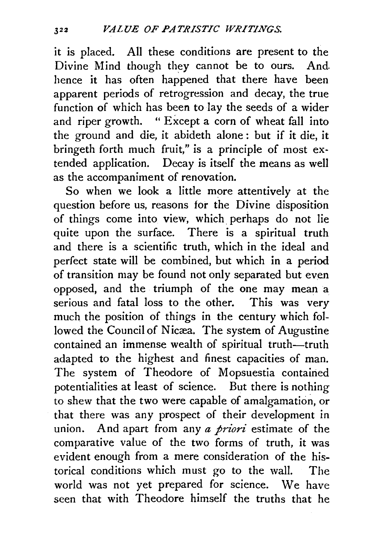it is placed. All these conditions are present to the Divine Mind though they cannot be to ours. And. hence it has often happened that there have been apparent periods of retrogression and decay, the true function of which has been to lay the seeds of a wider and riper growth. " Except a corn of wheat fall into the ground and die, it abideth alone : but if it die, it bringeth forth much fruit," is a principle of most extended application. Decay is itself the means as well as the accompaniment of renovation.

So when we look a little more attentively at the question before us, reasons for the Divine disposition of things come into view, which perhaps do not lie quite upon the surface. There is a spiritual truth and there is a scientific truth, which in the ideal and perfect state will be combined, but which in a period of transition may be found not only separated but even opposed, and the triumph of the one may mean a serious and fatal loss to the other. This was very much the position of things in the century which followed the Council of Nicæa. The system of Augustine contained an immense wealth of spiritual truth-truth adapted to the highest and finest capacities of man. The system of Theodore of Mopsuestia contained potentialities at least of science. But there is nothing to shew that the two were capable of amalgamation, or that there was any prospect of their development in union. And apart from any *a priori* estimate of the comparative value of the two forms of truth, it was evident enough from a mere consideration of the historical conditions which must go to the wall. The world was not yet prepared for science. We have seen that with Theodore himself the truths that he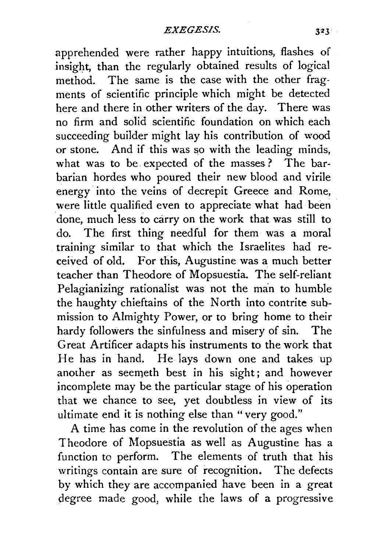apprehended were rather happy intuitions, flashes of insight, than the regularly obtained results of logical method. The same is the case with the other fragments of scientific principle which might be detected here and there in other writers of the day. There was no firm and solid scientific foundation on which each succeeding builder might lay his contribution of wood or stone. And if this was so with the leading minds, what was to be expected of the masses? The barbarian hordes who poured their new blood and virile energy into the veins of decrepit Greece and Rome, were little qualified even to appreciate what had been done, much less to carry on the work that was still to do. The first thing needful for them was a moral training similar to that which the Israelites had received of old. For this, Augustine was a much better teacher than Theodore of Mopsuestia. The self-reliant Pelagianizing rationalist was not the man to humble the haughty chieftains of the North into contrite submission to Almighty Power, or to bring home to their hardy followers the sinfulness and misery of sin. The Great Artificer adapts his instruments to the work that He has in hand. He lays down one and takes up another as seemeth best in his sight; and however incomplete may be the particular stage of his operation that we chance to see, yet doubtless in view of its ultimate end it is nothing else than "very good."

A time has come in the revolution of the ages when Theodore of Mopsuestia as well as Augustine has a function to perform. The elements of truth that his writings contain are sure of recognition. The defects by which they are accompanied have been in a great degree made good, while the laws of a progressive